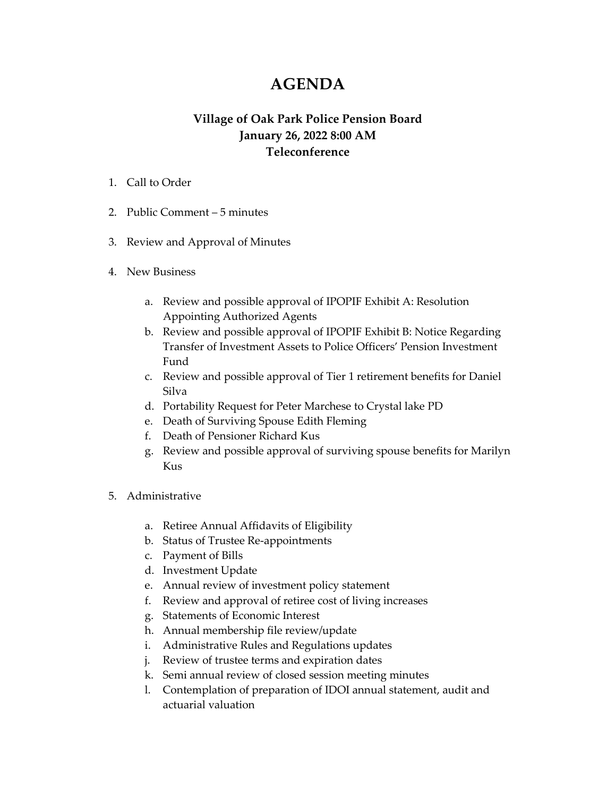## **AGENDA**

## **Village of Oak Park Police Pension Board January 26, 2022 8:00 AM Teleconference**

- 1. Call to Order
- 2. Public Comment 5 minutes
- 3. Review and Approval of Minutes
- 4. New Business
	- a. Review and possible approval of IPOPIF Exhibit A: Resolution Appointing Authorized Agents
	- b. Review and possible approval of IPOPIF Exhibit B: Notice Regarding Transfer of Investment Assets to Police Officers' Pension Investment Fund
	- c. Review and possible approval of Tier 1 retirement benefits for Daniel Silva
	- d. Portability Request for Peter Marchese to Crystal lake PD
	- e. Death of Surviving Spouse Edith Fleming
	- f. Death of Pensioner Richard Kus
	- g. Review and possible approval of surviving spouse benefits for Marilyn Kus
- 5. Administrative
	- a. Retiree Annual Affidavits of Eligibility
	- b. Status of Trustee Re-appointments
	- c. Payment of Bills
	- d. Investment Update
	- e. Annual review of investment policy statement
	- f. Review and approval of retiree cost of living increases
	- g. Statements of Economic Interest
	- h. Annual membership file review/update
	- i. Administrative Rules and Regulations updates
	- j. Review of trustee terms and expiration dates
	- k. Semi annual review of closed session meeting minutes
	- l. Contemplation of preparation of IDOI annual statement, audit and actuarial valuation